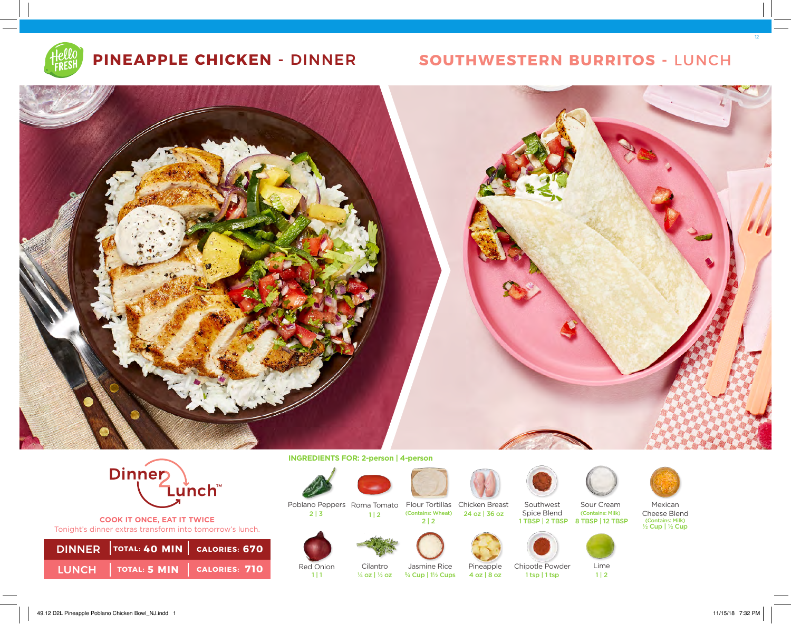

# **PINEAPPLE CHICKEN -** DINNER **SOUTHWESTERN BURRITOS -** LUNCH





**COOK IT ONCE, EAT IT TWICE**  Tonight's dinner extras transform into tomorrow's lunch.

| LUNCH $ $ TOTAL: 5 MIN $ $ CALORIES: 710 |  |
|------------------------------------------|--|

**INGREDIENTS FOR: 2-person | 4-person** 

 $1 | 2$ 









Poblano Peppers Roma Tomato Flour Tortillas Chicken Breast



















Southwest Spice Blend





Sour Cream (Contains: Milk)

Mexican Cheese Blend (Contains: Milk)<br>½ Cup | ½ Cup



2 | 3

Red Onion Cilantro ¼ oz | ½ oz

4 oz | 8 oz | 1 tsp | 1 tsp | 1 | 2 ¾ Cup | 1½ Cups

12